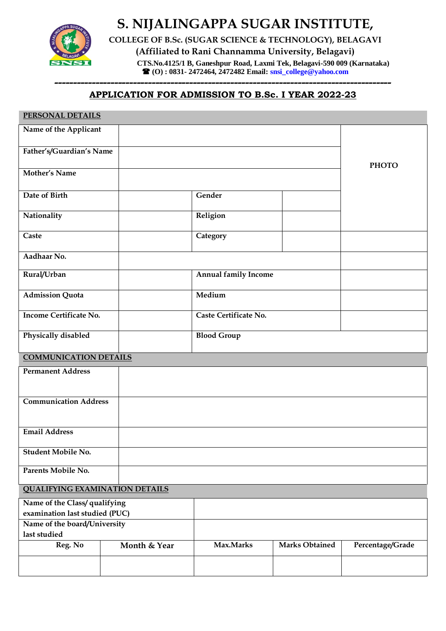

**S. NIJALINGAPPA SUGAR INSTITUTE,** 

**COLLEGE OF B.Sc. (SUGAR SCIENCE & TECHNOLOGY), BELAGAVI**

**(Affiliated to Rani Channamma University, Belagavi)**

 **CTS.No.4125/1 B, Ganeshpur Road, Laxmi Tek, Belagavi-590 009 (Karnataka) (O) : 0831- 2472464, 2472482 Email[: snsi\\_college@yahoo.com](mailto:snsi_college@yahoo.com)**

## **------------------------------------------------------------------------------------------ APPLICATION FOR ADMISSION TO B.Sc. I YEAR 2022-23**

| PERSONAL DETAILS                                                |              |                             |                       |                  |
|-----------------------------------------------------------------|--------------|-----------------------------|-----------------------|------------------|
| Name of the Applicant                                           |              |                             |                       |                  |
| Father's/Guardian's Name                                        |              |                             |                       | <b>PHOTO</b>     |
| <b>Mother's Name</b>                                            |              |                             |                       |                  |
| Date of Birth                                                   |              | Gender                      |                       |                  |
| Nationality                                                     |              | Religion                    |                       |                  |
| Caste                                                           |              | Category                    |                       |                  |
| Aadhaar No.                                                     |              |                             |                       |                  |
| Rural/Urban                                                     |              | <b>Annual family Income</b> |                       |                  |
| <b>Admission Quota</b>                                          |              | Medium                      |                       |                  |
| <b>Income Certificate No.</b>                                   |              | Caste Certificate No.       |                       |                  |
| Physically disabled                                             |              | <b>Blood Group</b>          |                       |                  |
| <b>COMMUNICATION DETAILS</b>                                    |              |                             |                       |                  |
| <b>Permanent Address</b>                                        |              |                             |                       |                  |
| <b>Communication Address</b>                                    |              |                             |                       |                  |
| <b>Email Address</b>                                            |              |                             |                       |                  |
| <b>Student Mobile No.</b>                                       |              |                             |                       |                  |
| Parents Mobile No.                                              |              |                             |                       |                  |
| <b>QUALIFYING EXAMINATION DETAILS</b>                           |              |                             |                       |                  |
| Name of the Class/ qualifying<br>examination last studied (PUC) |              |                             |                       |                  |
| Name of the board/University<br>last studied                    |              |                             |                       |                  |
| Reg. No                                                         | Month & Year | Max.Marks                   | <b>Marks Obtained</b> | Percentage/Grade |
|                                                                 |              |                             |                       |                  |